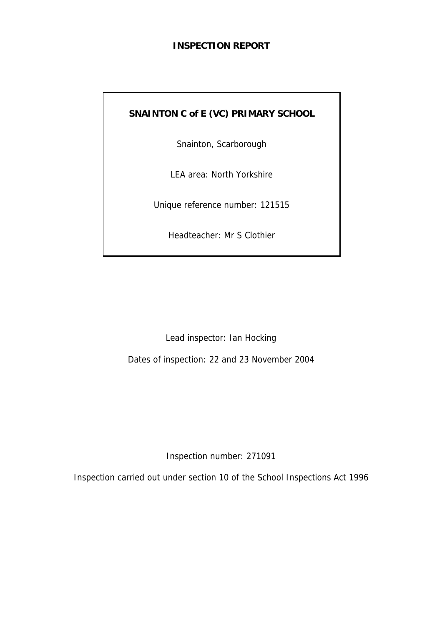#### **INSPECTION REPORT**

# **SNAINTON C of E (VC) PRIMARY SCHOOL**

Snainton, Scarborough

LEA area: North Yorkshire

Unique reference number: 121515

Headteacher: Mr S Clothier

Lead inspector: Ian Hocking

Dates of inspection: 22 and 23 November 2004

Inspection number: 271091

Inspection carried out under section 10 of the School Inspections Act 1996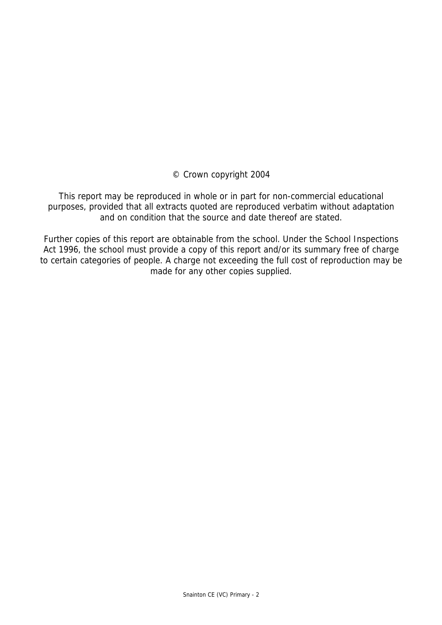© Crown copyright 2004

This report may be reproduced in whole or in part for non-commercial educational purposes, provided that all extracts quoted are reproduced verbatim without adaptation and on condition that the source and date thereof are stated.

Further copies of this report are obtainable from the school. Under the School Inspections Act 1996, the school must provide a copy of this report and/or its summary free of charge to certain categories of people. A charge not exceeding the full cost of reproduction may be made for any other copies supplied.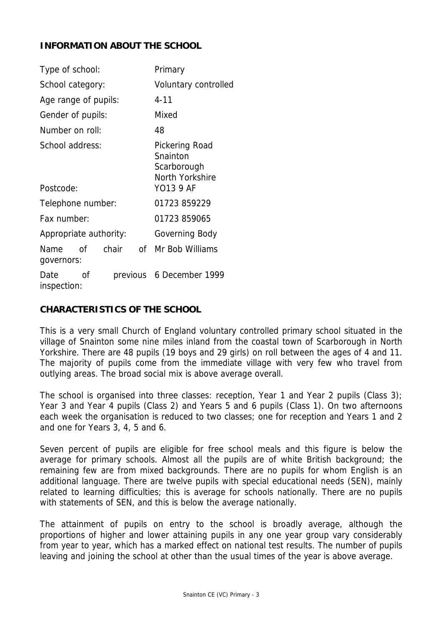#### **INFORMATION ABOUT THE SCHOOL**

| Type of school:              |    |       | Primary                                                                   |                          |  |  |
|------------------------------|----|-------|---------------------------------------------------------------------------|--------------------------|--|--|
| School category:             |    |       | Voluntary controlled                                                      |                          |  |  |
| Age range of pupils:         |    |       |                                                                           | $4 - 11$                 |  |  |
| Gender of pupils:            |    |       |                                                                           | Mixed                    |  |  |
| Number on roll:              |    |       |                                                                           | 48                       |  |  |
| School address:<br>Postcode: |    |       | Pickering Road<br>Snainton<br>Scarborough<br>North Yorkshire<br>YO13 9 AF |                          |  |  |
| Telephone number:            |    |       |                                                                           | 01723 859229             |  |  |
| Fax number:                  |    |       |                                                                           | 01723 859065             |  |  |
| Appropriate authority:       |    |       |                                                                           | Governing Body           |  |  |
| Name<br>governors:           | Ωf | chair | 0f l                                                                      | Mr Bob Williams          |  |  |
| Date<br>inspection:          | Ωf |       |                                                                           | previous 6 December 1999 |  |  |

#### **CHARACTERISTICS OF THE SCHOOL**

This is a very small Church of England voluntary controlled primary school situated in the village of Snainton some nine miles inland from the coastal town of Scarborough in North Yorkshire. There are 48 pupils (19 boys and 29 girls) on roll between the ages of 4 and 11. The majority of pupils come from the immediate village with very few who travel from outlying areas. The broad social mix is above average overall.

The school is organised into three classes: reception, Year 1 and Year 2 pupils (Class 3); Year 3 and Year 4 pupils (Class 2) and Years 5 and 6 pupils (Class 1). On two afternoons each week the organisation is reduced to two classes; one for reception and Years 1 and 2 and one for Years 3, 4, 5 and 6.

Seven percent of pupils are eligible for free school meals and this figure is below the average for primary schools. Almost all the pupils are of white British background; the remaining few are from mixed backgrounds. There are no pupils for whom English is an additional language. There are twelve pupils with special educational needs (SEN), mainly related to learning difficulties; this is average for schools nationally. There are no pupils with statements of SEN, and this is below the average nationally.

The attainment of pupils on entry to the school is broadly average, although the proportions of higher and lower attaining pupils in any one year group vary considerably from year to year, which has a marked effect on national test results. The number of pupils leaving and joining the school at other than the usual times of the year is above average.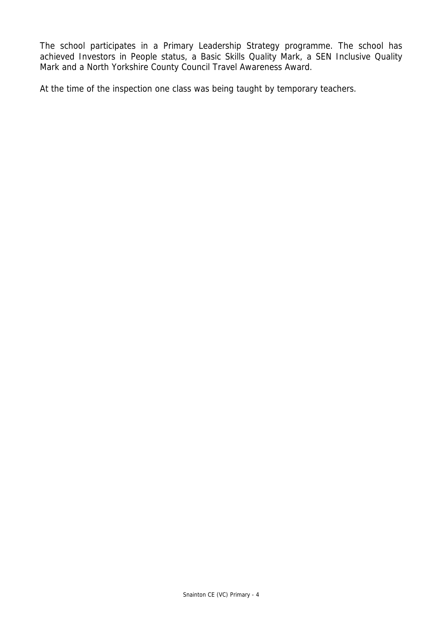The school participates in a Primary Leadership Strategy programme. The school has achieved Investors in People status, a Basic Skills Quality Mark, a SEN Inclusive Quality Mark and a North Yorkshire County Council Travel Awareness Award.

At the time of the inspection one class was being taught by temporary teachers.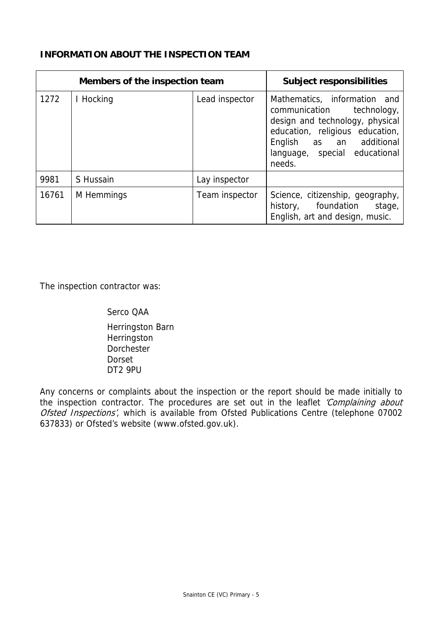#### **INFORMATION ABOUT THE INSPECTION TEAM**

| Members of the inspection team |            |                | <b>Subject responsibilities</b>                                                                                                                                                                           |
|--------------------------------|------------|----------------|-----------------------------------------------------------------------------------------------------------------------------------------------------------------------------------------------------------|
| 1272                           | I Hocking  | Lead inspector | Mathematics, information and<br>communication<br>technology,<br>design and technology, physical<br>education, religious education,<br>English as an additional<br>language, special educational<br>needs. |
| 9981                           | S Hussain  | Lay inspector  |                                                                                                                                                                                                           |
| 16761                          | M Hemmings | Team inspector | Science, citizenship, geography,<br>stage,<br>history, foundation<br>English, art and design, music.                                                                                                      |

The inspection contractor was:

#### Serco QAA

 Herringston Barn Herringston Dorchester Dorset DT2 9PU

Any concerns or complaints about the inspection or the report should be made initially to the inspection contractor. The procedures are set out in the leaflet 'Complaining about Ofsted Inspections', which is available from Ofsted Publications Centre (telephone 07002 637833) or Ofsted's website (www.ofsted.gov.uk).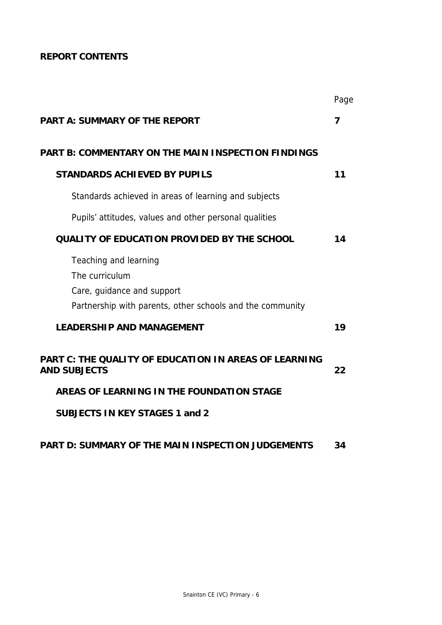# **REPORT CONTENTS**

|                                                                                                                                    | Page |
|------------------------------------------------------------------------------------------------------------------------------------|------|
| <b>PART A: SUMMARY OF THE REPORT</b>                                                                                               | 7    |
| <b>PART B: COMMENTARY ON THE MAIN INSPECTION FINDINGS</b>                                                                          |      |
| <b>STANDARDS ACHIEVED BY PUPILS</b>                                                                                                | 11   |
| Standards achieved in areas of learning and subjects                                                                               |      |
| Pupils' attitudes, values and other personal qualities                                                                             |      |
| <b>QUALITY OF EDUCATION PROVIDED BY THE SCHOOL</b>                                                                                 | 14   |
| Teaching and learning<br>The curriculum<br>Care, guidance and support<br>Partnership with parents, other schools and the community |      |
| <b>LEADERSHIP AND MANAGEMENT</b>                                                                                                   | 19   |
| <b>PART C: THE QUALITY OF EDUCATION IN AREAS OF LEARNING</b><br><b>AND SUBJECTS</b>                                                | 22   |
| AREAS OF LEARNING IN THE FOUNDATION STAGE                                                                                          |      |
| <b>SUBJECTS IN KEY STAGES 1 and 2</b>                                                                                              |      |
|                                                                                                                                    |      |

# **PART D: SUMMARY OF THE MAIN INSPECTION JUDGEMENTS 34**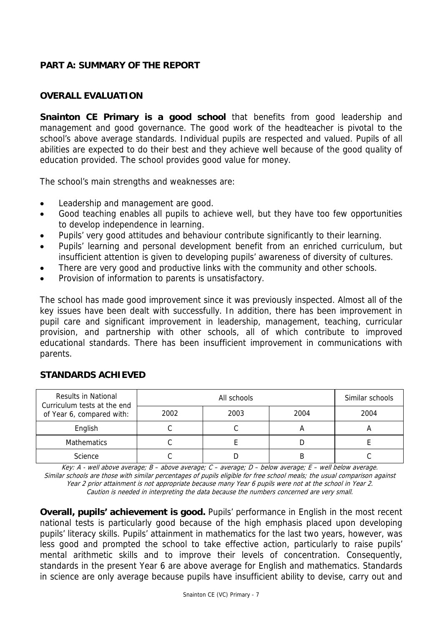#### **PART A: SUMMARY OF THE REPORT**

#### **OVERALL EVALUATION**

**Snainton CE Primary is a good school** that benefits from good leadership and management and good governance. The good work of the headteacher is pivotal to the school's above average standards. Individual pupils are respected and valued. Pupils of all abilities are expected to do their best and they achieve well because of the good quality of education provided. The school provides good value for money.

The school's main strengths and weaknesses are:

- Leadership and management are good.
- Good teaching enables all pupils to achieve well, but they have too few opportunities to develop independence in learning.
- Pupils' very good attitudes and behaviour contribute significantly to their learning.
- Pupils' learning and personal development benefit from an enriched curriculum, but insufficient attention is given to developing pupils' awareness of diversity of cultures.
- There are very good and productive links with the community and other schools.
- Provision of information to parents is unsatisfactory.

The school has made good improvement since it was previously inspected. Almost all of the key issues have been dealt with successfully. In addition, there has been improvement in pupil care and significant improvement in leadership, management, teaching, curricular provision, and partnership with other schools, all of which contribute to improved educational standards. There has been insufficient improvement in communications with parents.

| <b>Results in National</b><br>Curriculum tests at the end |      | Similar schools |      |      |
|-----------------------------------------------------------|------|-----------------|------|------|
| of Year 6, compared with:                                 | 2002 | 2003            | 2004 | 2004 |
| English                                                   |      |                 | n    |      |
| <b>Mathematics</b>                                        |      |                 |      |      |
| Science                                                   |      |                 | B    |      |

#### **STANDARDS ACHIEVED**

Key: A - well above average; B – above average; C – average; D – below average; E – well below average. Similar schools are those with similar percentages of pupils eligible for free school meals; the usual comparison against Year 2 prior attainment is not appropriate because many Year 6 pupils were not at the school in Year 2. Caution is needed in interpreting the data because the numbers concerned are very small.

**Overall, pupils' achievement is good.** Pupils' performance in English in the most recent national tests is particularly good because of the high emphasis placed upon developing pupils' literacy skills. Pupils' attainment in mathematics for the last two years, however, was less good and prompted the school to take effective action, particularly to raise pupils' mental arithmetic skills and to improve their levels of concentration. Consequently, standards in the present Year 6 are above average for English and mathematics. Standards in science are only average because pupils have insufficient ability to devise, carry out and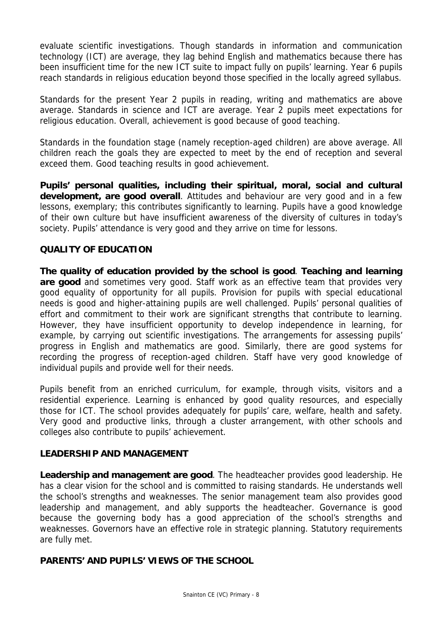evaluate scientific investigations. Though standards in information and communication technology (ICT) are average, they lag behind English and mathematics because there has been insufficient time for the new ICT suite to impact fully on pupils' learning. Year 6 pupils reach standards in religious education beyond those specified in the locally agreed syllabus.

Standards for the present Year 2 pupils in reading, writing and mathematics are above average. Standards in science and ICT are average. Year 2 pupils meet expectations for religious education. Overall, achievement is good because of good teaching.

Standards in the foundation stage (namely reception-aged children) are above average. All children reach the goals they are expected to meet by the end of reception and several exceed them. Good teaching results in good achievement.

**Pupils' personal qualities, including their spiritual, moral, social and cultural development, are good overall**. Attitudes and behaviour are very good and in a few lessons, exemplary; this contributes significantly to learning. Pupils have a good knowledge of their own culture but have insufficient awareness of the diversity of cultures in today's society. Pupils' attendance is very good and they arrive on time for lessons.

## **QUALITY OF EDUCATION**

**The quality of education provided by the school is good**. **Teaching and learning are good** and sometimes very good. Staff work as an effective team that provides very good equality of opportunity for all pupils. Provision for pupils with special educational needs is good and higher-attaining pupils are well challenged. Pupils' personal qualities of effort and commitment to their work are significant strengths that contribute to learning. However, they have insufficient opportunity to develop independence in learning, for example, by carrying out scientific investigations. The arrangements for assessing pupils' progress in English and mathematics are good. Similarly, there are good systems for recording the progress of reception-aged children. Staff have very good knowledge of individual pupils and provide well for their needs.

Pupils benefit from an enriched curriculum, for example, through visits, visitors and a residential experience. Learning is enhanced by good quality resources, and especially those for ICT. The school provides adequately for pupils' care, welfare, health and safety. Very good and productive links, through a cluster arrangement, with other schools and colleges also contribute to pupils' achievement.

## **LEADERSHIP AND MANAGEMENT**

**Leadership and management are good**. The headteacher provides good leadership. He has a clear vision for the school and is committed to raising standards. He understands well the school's strengths and weaknesses. The senior management team also provides good leadership and management, and ably supports the headteacher. Governance is good because the governing body has a good appreciation of the school's strengths and weaknesses. Governors have an effective role in strategic planning. Statutory requirements are fully met.

## **PARENTS' AND PUPILS' VIEWS OF THE SCHOOL**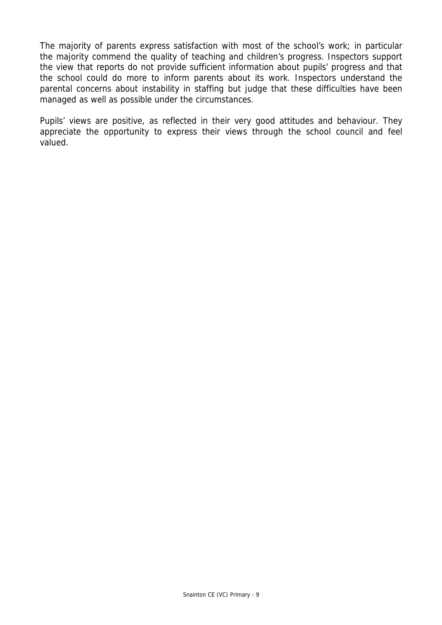The majority of parents express satisfaction with most of the school's work; in particular the majority commend the quality of teaching and children's progress. Inspectors support the view that reports do not provide sufficient information about pupils' progress and that the school could do more to inform parents about its work. Inspectors understand the parental concerns about instability in staffing but judge that these difficulties have been managed as well as possible under the circumstances.

Pupils' views are positive, as reflected in their very good attitudes and behaviour. They appreciate the opportunity to express their views through the school council and feel valued.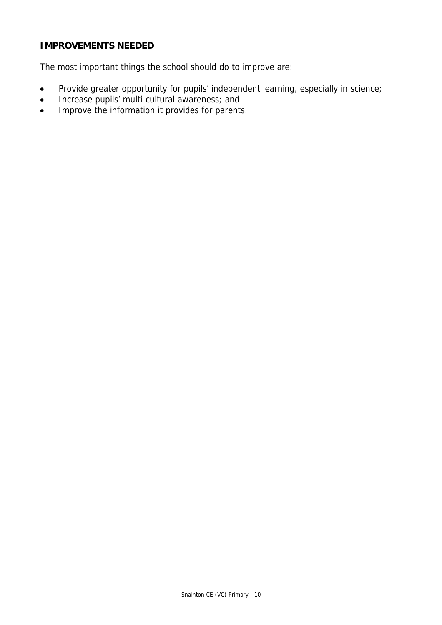## **IMPROVEMENTS NEEDED**

The most important things the school should do to improve are:

- Provide greater opportunity for pupils' independent learning, especially in science;
- Increase pupils' multi-cultural awareness; and
- Improve the information it provides for parents.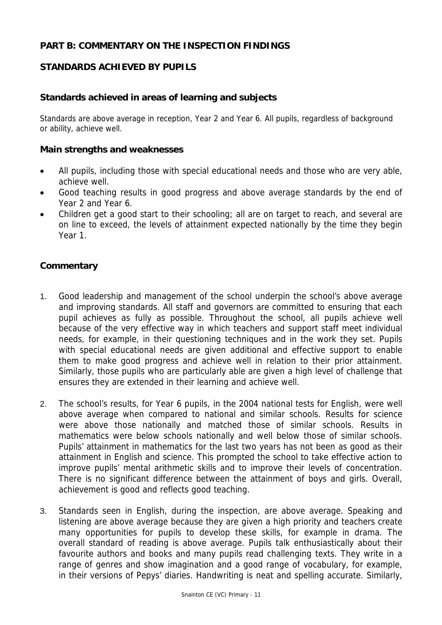#### **PART B: COMMENTARY ON THE INSPECTION FINDINGS**

## **STANDARDS ACHIEVED BY PUPILS**

#### **Standards achieved in areas of learning and subjects**

Standards are above average in reception, Year 2 and Year 6. All pupils, regardless of background or ability, achieve well.

#### **Main strengths and weaknesses**

- All pupils, including those with special educational needs and those who are very able, achieve well.
- Good teaching results in good progress and above average standards by the end of Year 2 and Year 6.
- Children get a good start to their schooling; all are on target to reach, and several are on line to exceed, the levels of attainment expected nationally by the time they begin Year 1.

#### **Commentary**

- 1. Good leadership and management of the school underpin the school's above average and improving standards. All staff and governors are committed to ensuring that each pupil achieves as fully as possible. Throughout the school, all pupils achieve well because of the very effective way in which teachers and support staff meet individual needs, for example, in their questioning techniques and in the work they set. Pupils with special educational needs are given additional and effective support to enable them to make good progress and achieve well in relation to their prior attainment. Similarly, those pupils who are particularly able are given a high level of challenge that ensures they are extended in their learning and achieve well.
- 2. The school's results, for Year 6 pupils, in the 2004 national tests for English, were well above average when compared to national and similar schools. Results for science were above those nationally and matched those of similar schools. Results in mathematics were below schools nationally and well below those of similar schools. Pupils' attainment in mathematics for the last two years has not been as good as their attainment in English and science. This prompted the school to take effective action to improve pupils' mental arithmetic skills and to improve their levels of concentration. There is no significant difference between the attainment of boys and girls. Overall, achievement is good and reflects good teaching.
- 3. Standards seen in English, during the inspection, are above average. Speaking and listening are above average because they are given a high priority and teachers create many opportunities for pupils to develop these skills, for example in drama. The overall standard of reading is above average. Pupils talk enthusiastically about their favourite authors and books and many pupils read challenging texts. They write in a range of genres and show imagination and a good range of vocabulary, for example, in their versions of Pepys' diaries. Handwriting is neat and spelling accurate. Similarly,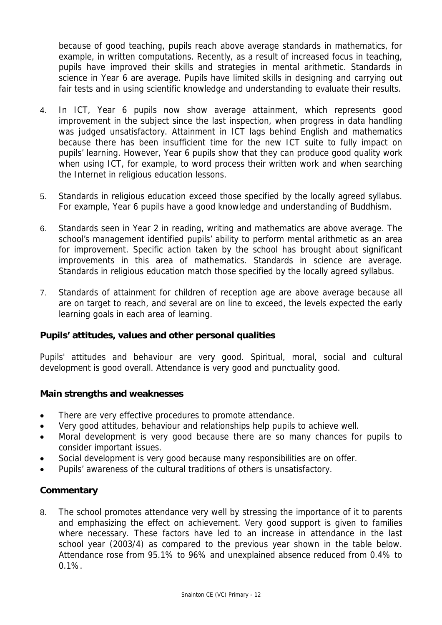because of good teaching, pupils reach above average standards in mathematics, for example, in written computations. Recently, as a result of increased focus in teaching, pupils have improved their skills and strategies in mental arithmetic. Standards in science in Year 6 are average. Pupils have limited skills in designing and carrying out fair tests and in using scientific knowledge and understanding to evaluate their results.

- 4. In ICT, Year 6 pupils now show average attainment, which represents good improvement in the subject since the last inspection, when progress in data handling was judged unsatisfactory. Attainment in ICT lags behind English and mathematics because there has been insufficient time for the new ICT suite to fully impact on pupils' learning. However, Year 6 pupils show that they can produce good quality work when using ICT, for example, to word process their written work and when searching the Internet in religious education lessons.
- 5. Standards in religious education exceed those specified by the locally agreed syllabus. For example, Year 6 pupils have a good knowledge and understanding of Buddhism.
- 6. Standards seen in Year 2 in reading, writing and mathematics are above average. The school's management identified pupils' ability to perform mental arithmetic as an area for improvement. Specific action taken by the school has brought about significant improvements in this area of mathematics. Standards in science are average. Standards in religious education match those specified by the locally agreed syllabus.
- 7. Standards of attainment for children of reception age are above average because all are on target to reach, and several are on line to exceed, the levels expected the early learning goals in each area of learning.

#### **Pupils' attitudes, values and other personal qualities**

Pupils' attitudes and behaviour are very good. Spiritual, moral, social and cultural development is good overall. Attendance is very good and punctuality good.

#### **Main strengths and weaknesses**

- There are very effective procedures to promote attendance.
- Very good attitudes, behaviour and relationships help pupils to achieve well.
- Moral development is very good because there are so many chances for pupils to consider important issues.
- Social development is very good because many responsibilities are on offer.
- Pupils' awareness of the cultural traditions of others is unsatisfactory.

## **Commentary**

8. The school promotes attendance very well by stressing the importance of it to parents and emphasizing the effect on achievement. Very good support is given to families where necessary. These factors have led to an increase in attendance in the last school year (2003/4) as compared to the previous year shown in the table below. Attendance rose from 95.1% to 96% and unexplained absence reduced from 0.4% to 0.1%.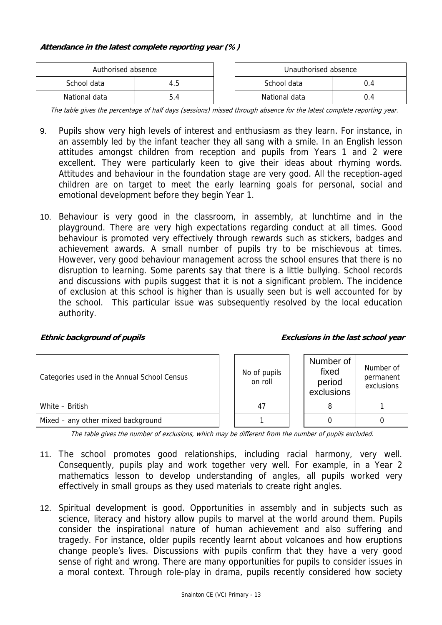#### **Attendance in the latest complete reporting year (%)**

| Authorised absence |     |  | Unauthorised absence |      |
|--------------------|-----|--|----------------------|------|
| School data        | 4.5 |  | School data          | .).4 |
| National data      |     |  | National data        | 14   |

The table gives the percentage of half days (sessions) missed through absence for the latest complete reporting year.

- 9. Pupils show very high levels of interest and enthusiasm as they learn. For instance, in an assembly led by the infant teacher they all sang with a smile. In an English lesson attitudes amongst children from reception and pupils from Years 1 and 2 were excellent. They were particularly keen to give their ideas about rhyming words. Attitudes and behaviour in the foundation stage are very good. All the reception-aged children are on target to meet the early learning goals for personal, social and emotional development before they begin Year 1.
- 10. Behaviour is very good in the classroom, in assembly, at lunchtime and in the playground. There are very high expectations regarding conduct at all times. Good behaviour is promoted very effectively through rewards such as stickers, badges and achievement awards. A small number of pupils try to be mischievous at times. However, very good behaviour management across the school ensures that there is no disruption to learning. Some parents say that there is a little bullying. School records and discussions with pupils suggest that it is not a significant problem. The incidence of exclusion at this school is higher than is usually seen but is well accounted for by the school. This particular issue was subsequently resolved by the local education authority.

#### **Ethnic background of pupils Exclusions in the last school year**

| Categories used in the Annual School Census |  | No of pupils<br>on roll | Number of<br>fixed<br>period<br>exclusions | Number of<br>permanent<br>exclusions |
|---------------------------------------------|--|-------------------------|--------------------------------------------|--------------------------------------|
| White - British                             |  | 47                      |                                            |                                      |
| Mixed – any other mixed background          |  |                         |                                            |                                      |

The table gives the number of exclusions, which may be different from the number of pupils excluded.

- 11. The school promotes good relationships, including racial harmony, very well. Consequently, pupils play and work together very well. For example, in a Year 2 mathematics lesson to develop understanding of angles, all pupils worked very effectively in small groups as they used materials to create right angles.
- 12. Spiritual development is good. Opportunities in assembly and in subjects such as science, literacy and history allow pupils to marvel at the world around them. Pupils consider the inspirational nature of human achievement and also suffering and tragedy. For instance, older pupils recently learnt about volcanoes and how eruptions change people's lives. Discussions with pupils confirm that they have a very good sense of right and wrong. There are many opportunities for pupils to consider issues in a moral context. Through role-play in drama, pupils recently considered how society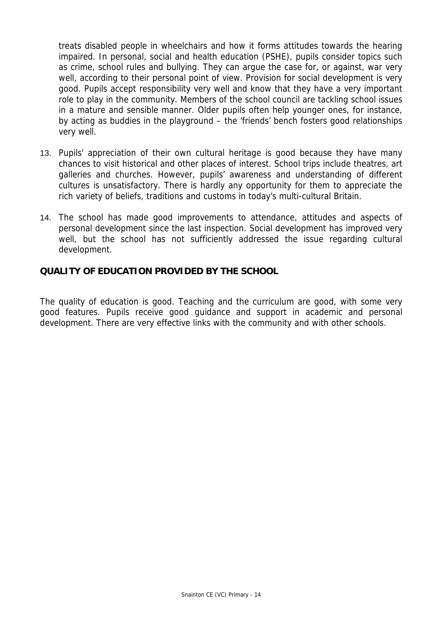treats disabled people in wheelchairs and how it forms attitudes towards the hearing impaired. In personal, social and health education (PSHE), pupils consider topics such as crime, school rules and bullying. They can argue the case for, or against, war very well, according to their personal point of view. Provision for social development is very good. Pupils accept responsibility very well and know that they have a very important role to play in the community. Members of the school council are tackling school issues in a mature and sensible manner. Older pupils often help younger ones, for instance, by acting as buddies in the playground – the 'friends' bench fosters good relationships very well.

- 13. Pupils' appreciation of their own cultural heritage is good because they have many chances to visit historical and other places of interest. School trips include theatres, art galleries and churches. However, pupils' awareness and understanding of different cultures is unsatisfactory. There is hardly any opportunity for them to appreciate the rich variety of beliefs, traditions and customs in today's multi-cultural Britain.
- 14. The school has made good improvements to attendance, attitudes and aspects of personal development since the last inspection. Social development has improved very well, but the school has not sufficiently addressed the issue regarding cultural development.

## **QUALITY OF EDUCATION PROVIDED BY THE SCHOOL**

The quality of education is good. Teaching and the curriculum are good, with some very good features. Pupils receive good guidance and support in academic and personal development. There are very effective links with the community and with other schools.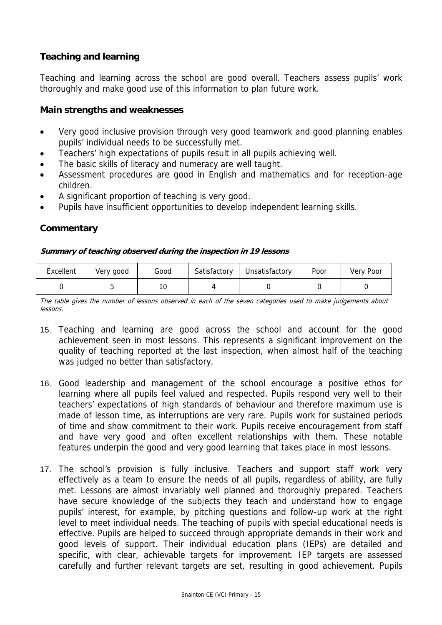#### **Teaching and learning**

Teaching and learning across the school are good overall. Teachers assess pupils' work thoroughly and make good use of this information to plan future work.

#### **Main strengths and weaknesses**

- Very good inclusive provision through very good teamwork and good planning enables pupils' individual needs to be successfully met.
- Teachers' high expectations of pupils result in all pupils achieving well.
- The basic skills of literacy and numeracy are well taught.
- Assessment procedures are good in English and mathematics and for reception-age children.
- A significant proportion of teaching is very good.
- Pupils have insufficient opportunities to develop independent learning skills.

## **Commentary**

#### **Summary of teaching observed during the inspection in 19 lessons**

| Excellent | Very good | Good | Satisfactory | Unsatisfactory | Poor | Very Poor |
|-----------|-----------|------|--------------|----------------|------|-----------|
|           |           |      |              |                |      |           |

The table gives the number of lessons observed in each of the seven categories used to make judgements about lessons.

- 15. Teaching and learning are good across the school and account for the good achievement seen in most lessons. This represents a significant improvement on the quality of teaching reported at the last inspection, when almost half of the teaching was judged no better than satisfactory.
- 16. Good leadership and management of the school encourage a positive ethos for learning where all pupils feel valued and respected. Pupils respond very well to their teachers' expectations of high standards of behaviour and therefore maximum use is made of lesson time, as interruptions are very rare. Pupils work for sustained periods of time and show commitment to their work. Pupils receive encouragement from staff and have very good and often excellent relationships with them. These notable features underpin the good and very good learning that takes place in most lessons.
- 17. The school's provision is fully inclusive. Teachers and support staff work very effectively as a team to ensure the needs of all pupils, regardless of ability, are fully met. Lessons are almost invariably well planned and thoroughly prepared. Teachers have secure knowledge of the subjects they teach and understand how to engage pupils' interest, for example, by pitching questions and follow-up work at the right level to meet individual needs. The teaching of pupils with special educational needs is effective. Pupils are helped to succeed through appropriate demands in their work and good levels of support. Their individual education plans (IEPs) are detailed and specific, with clear, achievable targets for improvement. IEP targets are assessed carefully and further relevant targets are set, resulting in good achievement. Pupils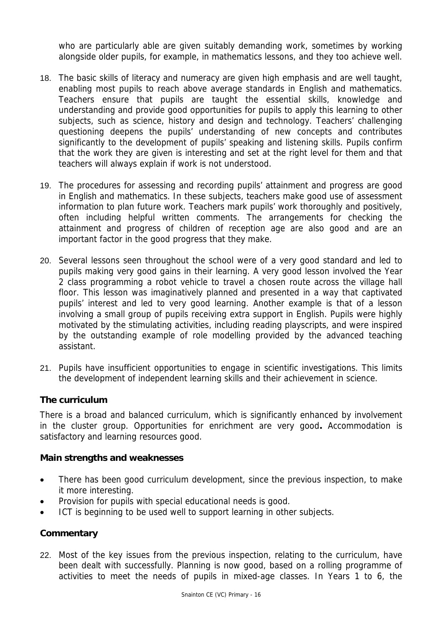who are particularly able are given suitably demanding work, sometimes by working alongside older pupils, for example, in mathematics lessons, and they too achieve well.

- 18. The basic skills of literacy and numeracy are given high emphasis and are well taught, enabling most pupils to reach above average standards in English and mathematics. Teachers ensure that pupils are taught the essential skills, knowledge and understanding and provide good opportunities for pupils to apply this learning to other subjects, such as science, history and design and technology. Teachers' challenging questioning deepens the pupils' understanding of new concepts and contributes significantly to the development of pupils' speaking and listening skills. Pupils confirm that the work they are given is interesting and set at the right level for them and that teachers will always explain if work is not understood.
- 19. The procedures for assessing and recording pupils' attainment and progress are good in English and mathematics. In these subjects, teachers make good use of assessment information to plan future work. Teachers mark pupils' work thoroughly and positively, often including helpful written comments. The arrangements for checking the attainment and progress of children of reception age are also good and are an important factor in the good progress that they make.
- 20. Several lessons seen throughout the school were of a very good standard and led to pupils making very good gains in their learning. A very good lesson involved the Year 2 class programming a robot vehicle to travel a chosen route across the village hall floor. This lesson was imaginatively planned and presented in a way that captivated pupils' interest and led to very good learning. Another example is that of a lesson involving a small group of pupils receiving extra support in English. Pupils were highly motivated by the stimulating activities, including reading playscripts, and were inspired by the outstanding example of role modelling provided by the advanced teaching assistant.
- 21. Pupils have insufficient opportunities to engage in scientific investigations. This limits the development of independent learning skills and their achievement in science.

#### **The curriculum**

There is a broad and balanced curriculum, which is significantly enhanced by involvement in the cluster group. Opportunities for enrichment are very good**.** Accommodation is satisfactory and learning resources good.

#### **Main strengths and weaknesses**

- There has been good curriculum development, since the previous inspection, to make it more interesting.
- Provision for pupils with special educational needs is good.
- ICT is beginning to be used well to support learning in other subjects.

## **Commentary**

22. Most of the key issues from the previous inspection, relating to the curriculum, have been dealt with successfully. Planning is now good, based on a rolling programme of activities to meet the needs of pupils in mixed-age classes. In Years 1 to 6, the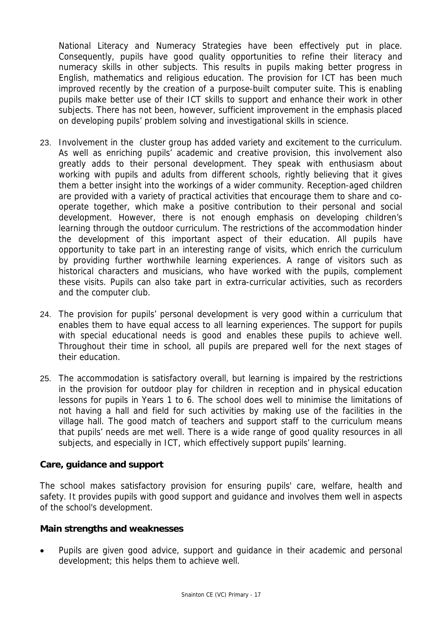National Literacy and Numeracy Strategies have been effectively put in place. Consequently, pupils have good quality opportunities to refine their literacy and numeracy skills in other subjects. This results in pupils making better progress in English, mathematics and religious education. The provision for ICT has been much improved recently by the creation of a purpose-built computer suite. This is enabling pupils make better use of their ICT skills to support and enhance their work in other subjects. There has not been, however, sufficient improvement in the emphasis placed on developing pupils' problem solving and investigational skills in science.

- 23. Involvement in the cluster group has added variety and excitement to the curriculum. As well as enriching pupils' academic and creative provision, this involvement also greatly adds to their personal development. They speak with enthusiasm about working with pupils and adults from different schools, rightly believing that it gives them a better insight into the workings of a wider community. Reception-aged children are provided with a variety of practical activities that encourage them to share and cooperate together, which make a positive contribution to their personal and social development. However, there is not enough emphasis on developing children's learning through the outdoor curriculum. The restrictions of the accommodation hinder the development of this important aspect of their education. All pupils have opportunity to take part in an interesting range of visits, which enrich the curriculum by providing further worthwhile learning experiences. A range of visitors such as historical characters and musicians, who have worked with the pupils, complement these visits. Pupils can also take part in extra-curricular activities, such as recorders and the computer club.
- 24. The provision for pupils' personal development is very good within a curriculum that enables them to have equal access to all learning experiences. The support for pupils with special educational needs is good and enables these pupils to achieve well. Throughout their time in school, all pupils are prepared well for the next stages of their education.
- 25. The accommodation is satisfactory overall, but learning is impaired by the restrictions in the provision for outdoor play for children in reception and in physical education lessons for pupils in Years 1 to 6. The school does well to minimise the limitations of not having a hall and field for such activities by making use of the facilities in the village hall. The good match of teachers and support staff to the curriculum means that pupils' needs are met well. There is a wide range of good quality resources in all subjects, and especially in ICT, which effectively support pupils' learning.

#### **Care, guidance and support**

The school makes satisfactory provision for ensuring pupils' care, welfare, health and safety. It provides pupils with good support and guidance and involves them well in aspects of the school's development.

#### **Main strengths and weaknesses**

• Pupils are given good advice, support and guidance in their academic and personal development; this helps them to achieve well.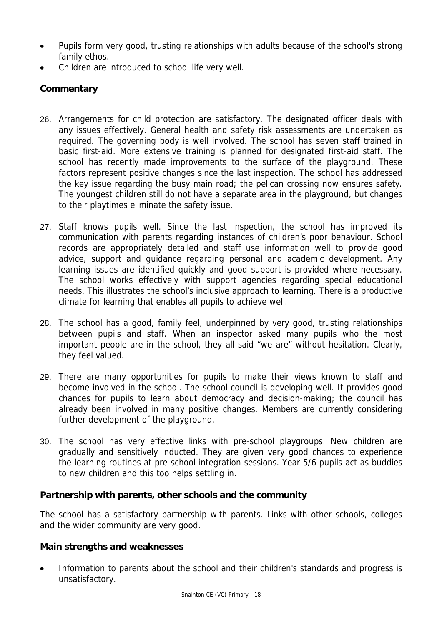- Pupils form very good, trusting relationships with adults because of the school's strong family ethos.
- Children are introduced to school life very well.

# **Commentary**

- 26. Arrangements for child protection are satisfactory. The designated officer deals with any issues effectively. General health and safety risk assessments are undertaken as required. The governing body is well involved. The school has seven staff trained in basic first-aid. More extensive training is planned for designated first-aid staff. The school has recently made improvements to the surface of the playground. These factors represent positive changes since the last inspection. The school has addressed the key issue regarding the busy main road; the pelican crossing now ensures safety. The youngest children still do not have a separate area in the playground, but changes to their playtimes eliminate the safety issue.
- 27. Staff knows pupils well. Since the last inspection, the school has improved its communication with parents regarding instances of children's poor behaviour. School records are appropriately detailed and staff use information well to provide good advice, support and guidance regarding personal and academic development. Any learning issues are identified quickly and good support is provided where necessary. The school works effectively with support agencies regarding special educational needs. This illustrates the school's inclusive approach to learning. There is a productive climate for learning that enables all pupils to achieve well.
- 28. The school has a good, family feel, underpinned by very good, trusting relationships between pupils and staff. When an inspector asked many pupils who the most important people are in the school, they all said "we are" without hesitation. Clearly, they feel valued.
- 29. There are many opportunities for pupils to make their views known to staff and become involved in the school. The school council is developing well. It provides good chances for pupils to learn about democracy and decision-making; the council has already been involved in many positive changes. Members are currently considering further development of the playground.
- 30. The school has very effective links with pre-school playgroups. New children are gradually and sensitively inducted. They are given very good chances to experience the learning routines at pre-school integration sessions. Year 5/6 pupils act as buddies to new children and this too helps settling in.

## **Partnership with parents, other schools and the community**

The school has a satisfactory partnership with parents. Links with other schools, colleges and the wider community are very good.

#### **Main strengths and weaknesses**

• Information to parents about the school and their children's standards and progress is unsatisfactory.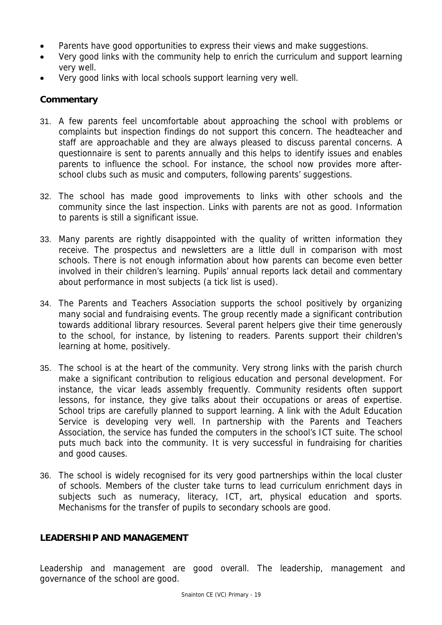- Parents have good opportunities to express their views and make suggestions.
- Very good links with the community help to enrich the curriculum and support learning very well.
- Very good links with local schools support learning very well.

#### **Commentary**

- 31. A few parents feel uncomfortable about approaching the school with problems or complaints but inspection findings do not support this concern. The headteacher and staff are approachable and they are always pleased to discuss parental concerns. A questionnaire is sent to parents annually and this helps to identify issues and enables parents to influence the school. For instance, the school now provides more afterschool clubs such as music and computers, following parents' suggestions.
- 32. The school has made good improvements to links with other schools and the community since the last inspection. Links with parents are not as good. Information to parents is still a significant issue.
- 33. Many parents are rightly disappointed with the quality of written information they receive. The prospectus and newsletters are a little dull in comparison with most schools. There is not enough information about how parents can become even better involved in their children's learning. Pupils' annual reports lack detail and commentary about performance in most subjects (a tick list is used).
- 34. The Parents and Teachers Association supports the school positively by organizing many social and fundraising events. The group recently made a significant contribution towards additional library resources. Several parent helpers give their time generously to the school, for instance, by listening to readers. Parents support their children's learning at home, positively.
- 35. The school is at the heart of the community. Very strong links with the parish church make a significant contribution to religious education and personal development. For instance, the vicar leads assembly frequently. Community residents often support lessons, for instance, they give talks about their occupations or areas of expertise. School trips are carefully planned to support learning. A link with the Adult Education Service is developing very well. In partnership with the Parents and Teachers Association, the service has funded the computers in the school's ICT suite. The school puts much back into the community. It is very successful in fundraising for charities and good causes.
- 36. The school is widely recognised for its very good partnerships within the local cluster of schools. Members of the cluster take turns to lead curriculum enrichment days in subjects such as numeracy, literacy, ICT, art, physical education and sports. Mechanisms for the transfer of pupils to secondary schools are good.

#### **LEADERSHIP AND MANAGEMENT**

Leadership and management are good overall. The leadership, management and governance of the school are good.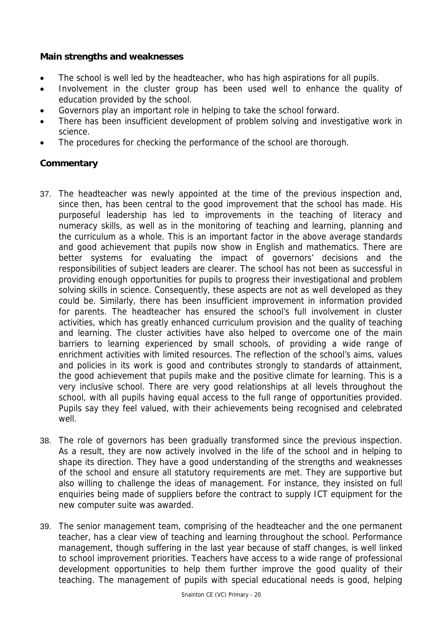#### **Main strengths and weaknesses**

- The school is well led by the headteacher, who has high aspirations for all pupils.
- Involvement in the cluster group has been used well to enhance the quality of education provided by the school.
- Governors play an important role in helping to take the school forward.
- There has been insufficient development of problem solving and investigative work in science.
- The procedures for checking the performance of the school are thorough.

# **Commentary**

- 37. The headteacher was newly appointed at the time of the previous inspection and, since then, has been central to the good improvement that the school has made. His purposeful leadership has led to improvements in the teaching of literacy and numeracy skills, as well as in the monitoring of teaching and learning, planning and the curriculum as a whole. This is an important factor in the above average standards and good achievement that pupils now show in English and mathematics. There are better systems for evaluating the impact of governors' decisions and the responsibilities of subject leaders are clearer. The school has not been as successful in providing enough opportunities for pupils to progress their investigational and problem solving skills in science. Consequently, these aspects are not as well developed as they could be. Similarly, there has been insufficient improvement in information provided for parents. The headteacher has ensured the school's full involvement in cluster activities, which has greatly enhanced curriculum provision and the quality of teaching and learning. The cluster activities have also helped to overcome one of the main barriers to learning experienced by small schools, of providing a wide range of enrichment activities with limited resources. The reflection of the school's aims, values and policies in its work is good and contributes strongly to standards of attainment, the good achievement that pupils make and the positive climate for learning. This is a very inclusive school. There are very good relationships at all levels throughout the school, with all pupils having equal access to the full range of opportunities provided. Pupils say they feel valued, with their achievements being recognised and celebrated well.
- 38. The role of governors has been gradually transformed since the previous inspection. As a result, they are now actively involved in the life of the school and in helping to shape its direction. They have a good understanding of the strengths and weaknesses of the school and ensure all statutory requirements are met. They are supportive but also willing to challenge the ideas of management. For instance, they insisted on full enquiries being made of suppliers before the contract to supply ICT equipment for the new computer suite was awarded.
- 39. The senior management team, comprising of the headteacher and the one permanent teacher, has a clear view of teaching and learning throughout the school. Performance management, though suffering in the last year because of staff changes, is well linked to school improvement priorities. Teachers have access to a wide range of professional development opportunities to help them further improve the good quality of their teaching. The management of pupils with special educational needs is good, helping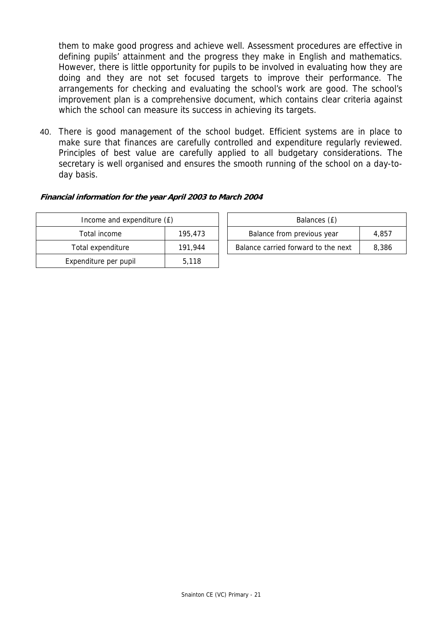them to make good progress and achieve well. Assessment procedures are effective in defining pupils' attainment and the progress they make in English and mathematics. However, there is little opportunity for pupils to be involved in evaluating how they are doing and they are not set focused targets to improve their performance. The arrangements for checking and evaluating the school's work are good. The school's improvement plan is a comprehensive document, which contains clear criteria against which the school can measure its success in achieving its targets.

40. There is good management of the school budget. Efficient systems are in place to make sure that finances are carefully controlled and expenditure regularly reviewed. Principles of best value are carefully applied to all budgetary considerations. The secretary is well organised and ensures the smooth running of the school on a day-today basis.

#### **Financial information for the year April 2003 to March 2004**

| Income and expenditure (£) | Balances (£) |                                  |
|----------------------------|--------------|----------------------------------|
| Total income               | 195,473      | Balance from previous year       |
| Total expenditure          | 191.944      | Balance carried forward to the r |
| Expenditure per pupil      | 5.118        |                                  |

| Income and expenditure (£) |         |                            | Balances (£)                        |       |
|----------------------------|---------|----------------------------|-------------------------------------|-------|
| Total income               | 195,473 | Balance from previous year |                                     | 4.857 |
| Total expenditure          | 191.944 |                            | Balance carried forward to the next | 8.386 |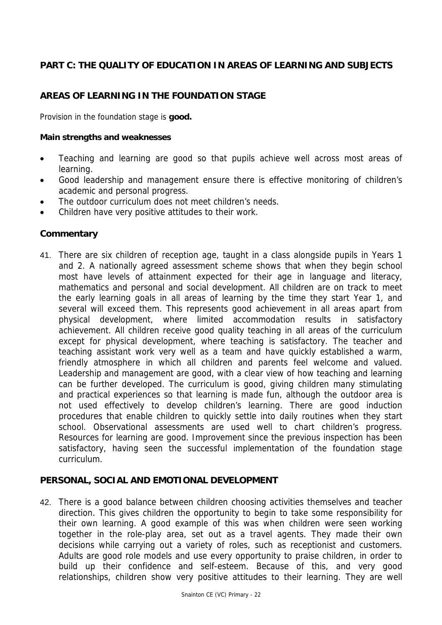## **PART C: THE QUALITY OF EDUCATION IN AREAS OF LEARNING AND SUBJECTS**

# **AREAS OF LEARNING IN THE FOUNDATION STAGE**

Provision in the foundation stage is **good.** 

#### **Main strengths and weaknesses**

- Teaching and learning are good so that pupils achieve well across most areas of learning.
- Good leadership and management ensure there is effective monitoring of children's academic and personal progress.
- The outdoor curriculum does not meet children's needs.
- Children have very positive attitudes to their work.

#### **Commentary**

41. There are six children of reception age, taught in a class alongside pupils in Years 1 and 2. A nationally agreed assessment scheme shows that when they begin school most have levels of attainment expected for their age in language and literacy, mathematics and personal and social development. All children are on track to meet the early learning goals in all areas of learning by the time they start Year 1, and several will exceed them. This represents good achievement in all areas apart from physical development, where limited accommodation results in satisfactory achievement. All children receive good quality teaching in all areas of the curriculum except for physical development, where teaching is satisfactory. The teacher and teaching assistant work very well as a team and have quickly established a warm, friendly atmosphere in which all children and parents feel welcome and valued. Leadership and management are good, with a clear view of how teaching and learning can be further developed. The curriculum is good, giving children many stimulating and practical experiences so that learning is made fun, although the outdoor area is not used effectively to develop children's learning. There are good induction procedures that enable children to quickly settle into daily routines when they start school. Observational assessments are used well to chart children's progress. Resources for learning are good. Improvement since the previous inspection has been satisfactory, having seen the successful implementation of the foundation stage curriculum.

#### **PERSONAL, SOCIAL AND EMOTIONAL DEVELOPMENT**

42. There is a good balance between children choosing activities themselves and teacher direction. This gives children the opportunity to begin to take some responsibility for their own learning. A good example of this was when children were seen working together in the role-play area, set out as a travel agents. They made their own decisions while carrying out a variety of roles, such as receptionist and customers. Adults are good role models and use every opportunity to praise children, in order to build up their confidence and self-esteem. Because of this, and very good relationships, children show very positive attitudes to their learning. They are well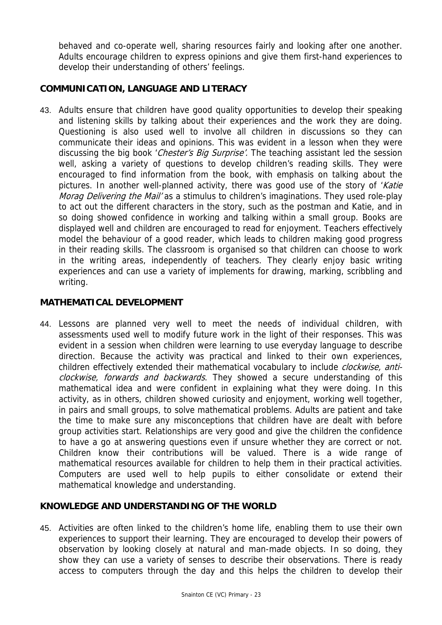behaved and co-operate well, sharing resources fairly and looking after one another. Adults encourage children to express opinions and give them first-hand experiences to develop their understanding of others' feelings.

## **COMMUNICATION, LANGUAGE AND LITERACY**

43. Adults ensure that children have good quality opportunities to develop their speaking and listening skills by talking about their experiences and the work they are doing. Questioning is also used well to involve all children in discussions so they can communicate their ideas and opinions. This was evident in a lesson when they were discussing the big book 'Chester's Big Surprise'. The teaching assistant led the session well, asking a variety of questions to develop children's reading skills. They were encouraged to find information from the book, with emphasis on talking about the pictures. In another well-planned activity, there was good use of the story of 'Katie' Morag Delivering the Mail' as a stimulus to children's imaginations. They used role-play to act out the different characters in the story, such as the postman and Katie, and in so doing showed confidence in working and talking within a small group. Books are displayed well and children are encouraged to read for enjoyment. Teachers effectively model the behaviour of a good reader, which leads to children making good progress in their reading skills. The classroom is organised so that children can choose to work in the writing areas, independently of teachers. They clearly enjoy basic writing experiences and can use a variety of implements for drawing, marking, scribbling and writing.

#### **MATHEMATICAL DEVELOPMENT**

44. Lessons are planned very well to meet the needs of individual children, with assessments used well to modify future work in the light of their responses. This was evident in a session when children were learning to use everyday language to describe direction. Because the activity was practical and linked to their own experiences, children effectively extended their mathematical vocabulary to include *clockwise, anti*clockwise, forwards and backwards. They showed a secure understanding of this mathematical idea and were confident in explaining what they were doing. In this activity, as in others, children showed curiosity and enjoyment, working well together, in pairs and small groups, to solve mathematical problems. Adults are patient and take the time to make sure any misconceptions that children have are dealt with before group activities start. Relationships are very good and give the children the confidence to have a go at answering questions even if unsure whether they are correct or not. Children know their contributions will be valued. There is a wide range of mathematical resources available for children to help them in their practical activities. Computers are used well to help pupils to either consolidate or extend their mathematical knowledge and understanding.

#### **KNOWLEDGE AND UNDERSTANDING OF THE WORLD**

45. Activities are often linked to the children's home life, enabling them to use their own experiences to support their learning. They are encouraged to develop their powers of observation by looking closely at natural and man-made objects. In so doing, they show they can use a variety of senses to describe their observations. There is ready access to computers through the day and this helps the children to develop their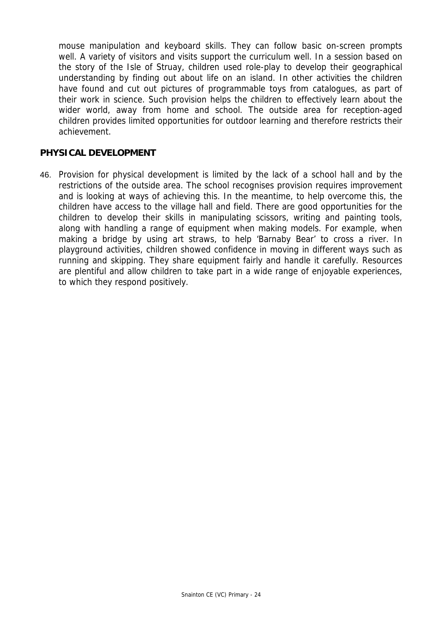mouse manipulation and keyboard skills. They can follow basic on-screen prompts well. A variety of visitors and visits support the curriculum well. In a session based on the story of the Isle of Struay, children used role-play to develop their geographical understanding by finding out about life on an island. In other activities the children have found and cut out pictures of programmable toys from catalogues, as part of their work in science. Such provision helps the children to effectively learn about the wider world, away from home and school. The outside area for reception-aged children provides limited opportunities for outdoor learning and therefore restricts their achievement.

#### **PHYSICAL DEVELOPMENT**

46. Provision for physical development is limited by the lack of a school hall and by the restrictions of the outside area. The school recognises provision requires improvement and is looking at ways of achieving this. In the meantime, to help overcome this, the children have access to the village hall and field. There are good opportunities for the children to develop their skills in manipulating scissors, writing and painting tools, along with handling a range of equipment when making models. For example, when making a bridge by using art straws, to help 'Barnaby Bear' to cross a river. In playground activities, children showed confidence in moving in different ways such as running and skipping. They share equipment fairly and handle it carefully. Resources are plentiful and allow children to take part in a wide range of enjoyable experiences, to which they respond positively.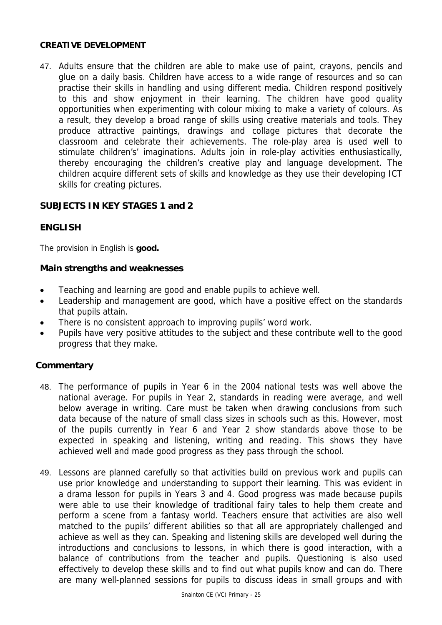#### **CREATIVE DEVELOPMENT**

47. Adults ensure that the children are able to make use of paint, crayons, pencils and glue on a daily basis. Children have access to a wide range of resources and so can practise their skills in handling and using different media. Children respond positively to this and show enjoyment in their learning. The children have good quality opportunities when experimenting with colour mixing to make a variety of colours. As a result, they develop a broad range of skills using creative materials and tools. They produce attractive paintings, drawings and collage pictures that decorate the classroom and celebrate their achievements. The role-play area is used well to stimulate children's' imaginations. Adults join in role-play activities enthusiastically, thereby encouraging the children's creative play and language development. The children acquire different sets of skills and knowledge as they use their developing ICT skills for creating pictures.

## **SUBJECTS IN KEY STAGES 1 and 2**

## **ENGLISH**

The provision in English is **good.**

#### **Main strengths and weaknesses**

- Teaching and learning are good and enable pupils to achieve well.
- Leadership and management are good, which have a positive effect on the standards that pupils attain.
- There is no consistent approach to improving pupils' word work.
- Pupils have very positive attitudes to the subject and these contribute well to the good progress that they make.

## **Commentary**

- 48. The performance of pupils in Year 6 in the 2004 national tests was well above the national average. For pupils in Year 2, standards in reading were average, and well below average in writing. Care must be taken when drawing conclusions from such data because of the nature of small class sizes in schools such as this. However, most of the pupils currently in Year 6 and Year 2 show standards above those to be expected in speaking and listening, writing and reading. This shows they have achieved well and made good progress as they pass through the school.
- 49. Lessons are planned carefully so that activities build on previous work and pupils can use prior knowledge and understanding to support their learning. This was evident in a drama lesson for pupils in Years 3 and 4. Good progress was made because pupils were able to use their knowledge of traditional fairy tales to help them create and perform a scene from a fantasy world. Teachers ensure that activities are also well matched to the pupils' different abilities so that all are appropriately challenged and achieve as well as they can. Speaking and listening skills are developed well during the introductions and conclusions to lessons, in which there is good interaction, with a balance of contributions from the teacher and pupils. Questioning is also used effectively to develop these skills and to find out what pupils know and can do. There are many well-planned sessions for pupils to discuss ideas in small groups and with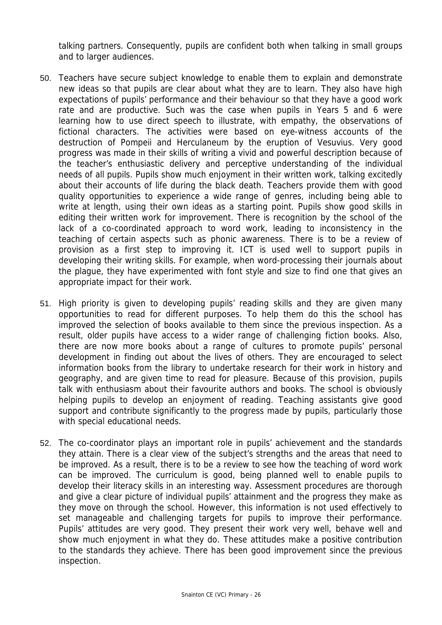talking partners. Consequently, pupils are confident both when talking in small groups and to larger audiences.

- 50. Teachers have secure subject knowledge to enable them to explain and demonstrate new ideas so that pupils are clear about what they are to learn. They also have high expectations of pupils' performance and their behaviour so that they have a good work rate and are productive. Such was the case when pupils in Years 5 and 6 were learning how to use direct speech to illustrate, with empathy, the observations of fictional characters. The activities were based on eye-witness accounts of the destruction of Pompeii and Herculaneum by the eruption of Vesuvius. Very good progress was made in their skills of writing a vivid and powerful description because of the teacher's enthusiastic delivery and perceptive understanding of the individual needs of all pupils. Pupils show much enjoyment in their written work, talking excitedly about their accounts of life during the black death. Teachers provide them with good quality opportunities to experience a wide range of genres, including being able to write at length, using their own ideas as a starting point. Pupils show good skills in editing their written work for improvement. There is recognition by the school of the lack of a co-coordinated approach to word work, leading to inconsistency in the teaching of certain aspects such as phonic awareness. There is to be a review of provision as a first step to improving it. ICT is used well to support pupils in developing their writing skills. For example, when word-processing their journals about the plague, they have experimented with font style and size to find one that gives an appropriate impact for their work.
- 51. High priority is given to developing pupils' reading skills and they are given many opportunities to read for different purposes. To help them do this the school has improved the selection of books available to them since the previous inspection. As a result, older pupils have access to a wider range of challenging fiction books. Also, there are now more books about a range of cultures to promote pupils' personal development in finding out about the lives of others. They are encouraged to select information books from the library to undertake research for their work in history and geography, and are given time to read for pleasure. Because of this provision, pupils talk with enthusiasm about their favourite authors and books. The school is obviously helping pupils to develop an enjoyment of reading. Teaching assistants give good support and contribute significantly to the progress made by pupils, particularly those with special educational needs.
- 52. The co-coordinator plays an important role in pupils' achievement and the standards they attain. There is a clear view of the subject's strengths and the areas that need to be improved. As a result, there is to be a review to see how the teaching of word work can be improved. The curriculum is good, being planned well to enable pupils to develop their literacy skills in an interesting way. Assessment procedures are thorough and give a clear picture of individual pupils' attainment and the progress they make as they move on through the school. However, this information is not used effectively to set manageable and challenging targets for pupils to improve their performance. Pupils' attitudes are very good. They present their work very well, behave well and show much enjoyment in what they do. These attitudes make a positive contribution to the standards they achieve. There has been good improvement since the previous inspection.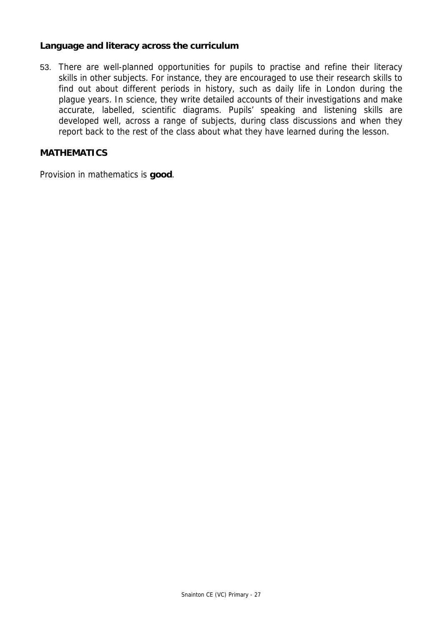#### **Language and literacy across the curriculum**

53. There are well-planned opportunities for pupils to practise and refine their literacy skills in other subjects. For instance, they are encouraged to use their research skills to find out about different periods in history, such as daily life in London during the plague years. In science, they write detailed accounts of their investigations and make accurate, labelled, scientific diagrams. Pupils' speaking and listening skills are developed well, across a range of subjects, during class discussions and when they report back to the rest of the class about what they have learned during the lesson.

#### **MATHEMATICS**

Provision in mathematics is **good**.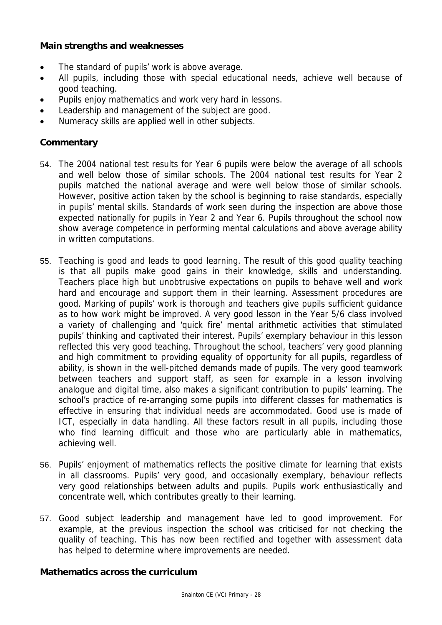#### **Main strengths and weaknesses**

- The standard of pupils' work is above average.
- All pupils, including those with special educational needs, achieve well because of good teaching.
- Pupils enjoy mathematics and work very hard in lessons.
- Leadership and management of the subject are good.
- Numeracy skills are applied well in other subjects.

#### **Commentary**

- 54. The 2004 national test results for Year 6 pupils were below the average of all schools and well below those of similar schools. The 2004 national test results for Year 2 pupils matched the national average and were well below those of similar schools. However, positive action taken by the school is beginning to raise standards, especially in pupils' mental skills. Standards of work seen during the inspection are above those expected nationally for pupils in Year 2 and Year 6. Pupils throughout the school now show average competence in performing mental calculations and above average ability in written computations.
- 55. Teaching is good and leads to good learning. The result of this good quality teaching is that all pupils make good gains in their knowledge, skills and understanding. Teachers place high but unobtrusive expectations on pupils to behave well and work hard and encourage and support them in their learning. Assessment procedures are good. Marking of pupils' work is thorough and teachers give pupils sufficient guidance as to how work might be improved. A very good lesson in the Year 5/6 class involved a variety of challenging and 'quick fire' mental arithmetic activities that stimulated pupils' thinking and captivated their interest. Pupils' exemplary behaviour in this lesson reflected this very good teaching. Throughout the school, teachers' very good planning and high commitment to providing equality of opportunity for all pupils, regardless of ability, is shown in the well-pitched demands made of pupils. The very good teamwork between teachers and support staff, as seen for example in a lesson involving analogue and digital time, also makes a significant contribution to pupils' learning. The school's practice of re-arranging some pupils into different classes for mathematics is effective in ensuring that individual needs are accommodated. Good use is made of ICT, especially in data handling. All these factors result in all pupils, including those who find learning difficult and those who are particularly able in mathematics, achieving well.
- 56. Pupils' enjoyment of mathematics reflects the positive climate for learning that exists in all classrooms. Pupils' very good, and occasionally exemplary, behaviour reflects very good relationships between adults and pupils. Pupils work enthusiastically and concentrate well, which contributes greatly to their learning.
- 57. Good subject leadership and management have led to good improvement. For example, at the previous inspection the school was criticised for not checking the quality of teaching. This has now been rectified and together with assessment data has helped to determine where improvements are needed.

#### **Mathematics across the curriculum**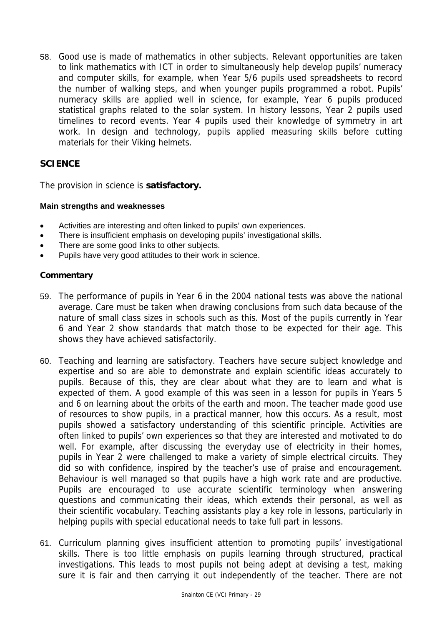58. Good use is made of mathematics in other subjects. Relevant opportunities are taken to link mathematics with ICT in order to simultaneously help develop pupils' numeracy and computer skills, for example, when Year 5/6 pupils used spreadsheets to record the number of walking steps, and when younger pupils programmed a robot. Pupils' numeracy skills are applied well in science, for example, Year 6 pupils produced statistical graphs related to the solar system. In history lessons, Year 2 pupils used timelines to record events. Year 4 pupils used their knowledge of symmetry in art work. In design and technology, pupils applied measuring skills before cutting materials for their Viking helmets.

## **SCIENCE**

The provision in science is **satisfactory.** 

#### **Main strengths and weaknesses**

- Activities are interesting and often linked to pupils' own experiences.
- There is insufficient emphasis on developing pupils' investigational skills.
- There are some good links to other subjects.
- Pupils have very good attitudes to their work in science.

#### **Commentary**

- 59. The performance of pupils in Year 6 in the 2004 national tests was above the national average. Care must be taken when drawing conclusions from such data because of the nature of small class sizes in schools such as this. Most of the pupils currently in Year 6 and Year 2 show standards that match those to be expected for their age. This shows they have achieved satisfactorily.
- 60. Teaching and learning are satisfactory. Teachers have secure subject knowledge and expertise and so are able to demonstrate and explain scientific ideas accurately to pupils. Because of this, they are clear about what they are to learn and what is expected of them. A good example of this was seen in a lesson for pupils in Years 5 and 6 on learning about the orbits of the earth and moon. The teacher made good use of resources to show pupils, in a practical manner, how this occurs. As a result, most pupils showed a satisfactory understanding of this scientific principle. Activities are often linked to pupils' own experiences so that they are interested and motivated to do well. For example, after discussing the everyday use of electricity in their homes, pupils in Year 2 were challenged to make a variety of simple electrical circuits. They did so with confidence, inspired by the teacher's use of praise and encouragement. Behaviour is well managed so that pupils have a high work rate and are productive. Pupils are encouraged to use accurate scientific terminology when answering questions and communicating their ideas, which extends their personal, as well as their scientific vocabulary. Teaching assistants play a key role in lessons, particularly in helping pupils with special educational needs to take full part in lessons.
- 61. Curriculum planning gives insufficient attention to promoting pupils' investigational skills. There is too little emphasis on pupils learning through structured, practical investigations. This leads to most pupils not being adept at devising a test, making sure it is fair and then carrying it out independently of the teacher. There are not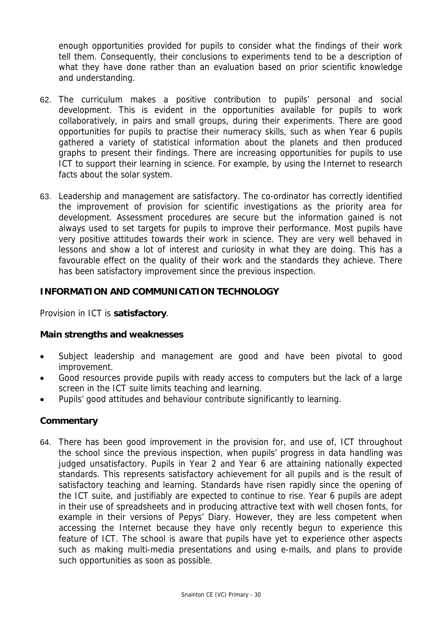enough opportunities provided for pupils to consider what the findings of their work tell them. Consequently, their conclusions to experiments tend to be a description of what they have done rather than an evaluation based on prior scientific knowledge and understanding.

- 62. The curriculum makes a positive contribution to pupils' personal and social development. This is evident in the opportunities available for pupils to work collaboratively, in pairs and small groups, during their experiments. There are good opportunities for pupils to practise their numeracy skills, such as when Year 6 pupils gathered a variety of statistical information about the planets and then produced graphs to present their findings. There are increasing opportunities for pupils to use ICT to support their learning in science. For example, by using the Internet to research facts about the solar system.
- 63. Leadership and management are satisfactory. The co-ordinator has correctly identified the improvement of provision for scientific investigations as the priority area for development. Assessment procedures are secure but the information gained is not always used to set targets for pupils to improve their performance. Most pupils have very positive attitudes towards their work in science. They are very well behaved in lessons and show a lot of interest and curiosity in what they are doing. This has a favourable effect on the quality of their work and the standards they achieve. There has been satisfactory improvement since the previous inspection.

## **INFORMATION AND COMMUNICATION TECHNOLOGY**

Provision in ICT is **satisfactory**.

#### **Main strengths and weaknesses**

- Subject leadership and management are good and have been pivotal to good improvement.
- Good resources provide pupils with ready access to computers but the lack of a large screen in the ICT suite limits teaching and learning.
- Pupils' good attitudes and behaviour contribute significantly to learning.

#### **Commentary**

64. There has been good improvement in the provision for, and use of, ICT throughout the school since the previous inspection, when pupils' progress in data handling was judged unsatisfactory. Pupils in Year 2 and Year 6 are attaining nationally expected standards. This represents satisfactory achievement for all pupils and is the result of satisfactory teaching and learning. Standards have risen rapidly since the opening of the ICT suite, and justifiably are expected to continue to rise. Year 6 pupils are adept in their use of spreadsheets and in producing attractive text with well chosen fonts, for example in their versions of Pepys' Diary. However, they are less competent when accessing the Internet because they have only recently begun to experience this feature of ICT. The school is aware that pupils have yet to experience other aspects such as making multi-media presentations and using e-mails, and plans to provide such opportunities as soon as possible.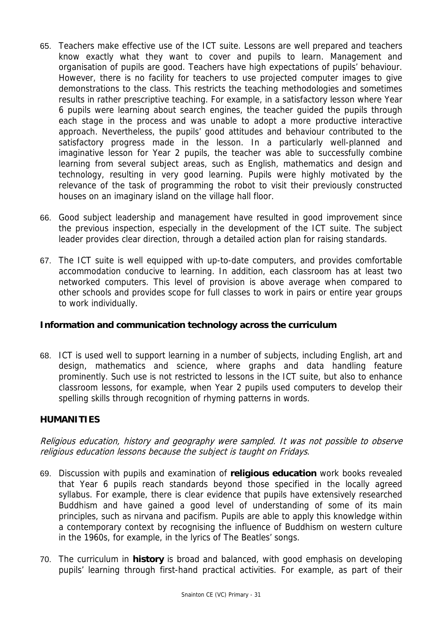- 65. Teachers make effective use of the ICT suite. Lessons are well prepared and teachers know exactly what they want to cover and pupils to learn. Management and organisation of pupils are good. Teachers have high expectations of pupils' behaviour. However, there is no facility for teachers to use projected computer images to give demonstrations to the class. This restricts the teaching methodologies and sometimes results in rather prescriptive teaching. For example, in a satisfactory lesson where Year 6 pupils were learning about search engines, the teacher guided the pupils through each stage in the process and was unable to adopt a more productive interactive approach. Nevertheless, the pupils' good attitudes and behaviour contributed to the satisfactory progress made in the lesson. In a particularly well-planned and imaginative lesson for Year 2 pupils, the teacher was able to successfully combine learning from several subject areas, such as English, mathematics and design and technology, resulting in very good learning. Pupils were highly motivated by the relevance of the task of programming the robot to visit their previously constructed houses on an imaginary island on the village hall floor.
- 66. Good subject leadership and management have resulted in good improvement since the previous inspection, especially in the development of the ICT suite. The subject leader provides clear direction, through a detailed action plan for raising standards.
- 67. The ICT suite is well equipped with up-to-date computers, and provides comfortable accommodation conducive to learning. In addition, each classroom has at least two networked computers. This level of provision is above average when compared to other schools and provides scope for full classes to work in pairs or entire year groups to work individually.

## **Information and communication technology across the curriculum**

68. ICT is used well to support learning in a number of subjects, including English, art and design, mathematics and science, where graphs and data handling feature prominently. Such use is not restricted to lessons in the ICT suite, but also to enhance classroom lessons, for example, when Year 2 pupils used computers to develop their spelling skills through recognition of rhyming patterns in words.

# **HUMANITIES**

Religious education, history and geography were sampled. It was not possible to observe religious education lessons because the subject is taught on Fridays.

- 69. Discussion with pupils and examination of **religious education** work books revealed that Year 6 pupils reach standards beyond those specified in the locally agreed syllabus. For example, there is clear evidence that pupils have extensively researched Buddhism and have gained a good level of understanding of some of its main principles, such as nirvana and pacifism. Pupils are able to apply this knowledge within a contemporary context by recognising the influence of Buddhism on western culture in the 1960s, for example, in the lyrics of The Beatles' songs.
- 70. The curriculum in **history** is broad and balanced, with good emphasis on developing pupils' learning through first-hand practical activities. For example, as part of their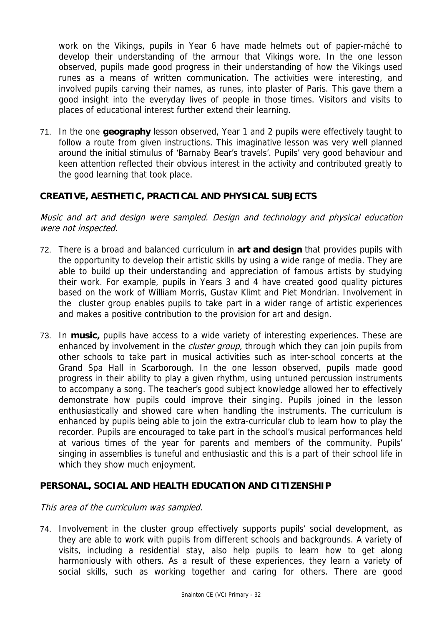work on the Vikings, pupils in Year 6 have made helmets out of papier-mâché to develop their understanding of the armour that Vikings wore. In the one lesson observed, pupils made good progress in their understanding of how the Vikings used runes as a means of written communication. The activities were interesting, and involved pupils carving their names, as runes, into plaster of Paris. This gave them a good insight into the everyday lives of people in those times. Visitors and visits to places of educational interest further extend their learning.

71. In the one **geography** lesson observed, Year 1 and 2 pupils were effectively taught to follow a route from given instructions. This imaginative lesson was very well planned around the initial stimulus of 'Barnaby Bear's travels'. Pupils' very good behaviour and keen attention reflected their obvious interest in the activity and contributed greatly to the good learning that took place.

#### **CREATIVE, AESTHETIC, PRACTICAL AND PHYSICAL SUBJECTS**

Music and art and design were sampled. Design and technology and physical education were not inspected.

- 72. There is a broad and balanced curriculum in **art and design** that provides pupils with the opportunity to develop their artistic skills by using a wide range of media. They are able to build up their understanding and appreciation of famous artists by studying their work. For example, pupils in Years 3 and 4 have created good quality pictures based on the work of William Morris, Gustav Klimt and Piet Mondrian. Involvement in the cluster group enables pupils to take part in a wider range of artistic experiences and makes a positive contribution to the provision for art and design.
- 73. In **music,** pupils have access to a wide variety of interesting experiences. These are enhanced by involvement in the *cluster group*, through which they can join pupils from other schools to take part in musical activities such as inter-school concerts at the Grand Spa Hall in Scarborough. In the one lesson observed, pupils made good progress in their ability to play a given rhythm, using untuned percussion instruments to accompany a song. The teacher's good subject knowledge allowed her to effectively demonstrate how pupils could improve their singing. Pupils joined in the lesson enthusiastically and showed care when handling the instruments. The curriculum is enhanced by pupils being able to join the extra-curricular club to learn how to play the recorder. Pupils are encouraged to take part in the school's musical performances held at various times of the year for parents and members of the community. Pupils' singing in assemblies is tuneful and enthusiastic and this is a part of their school life in which they show much enjoyment.

#### **PERSONAL, SOCIAL AND HEALTH EDUCATION AND CITIZENSHIP**

#### This area of the curriculum was sampled.

74. Involvement in the cluster group effectively supports pupils' social development, as they are able to work with pupils from different schools and backgrounds. A variety of visits, including a residential stay, also help pupils to learn how to get along harmoniously with others. As a result of these experiences, they learn a variety of social skills, such as working together and caring for others. There are good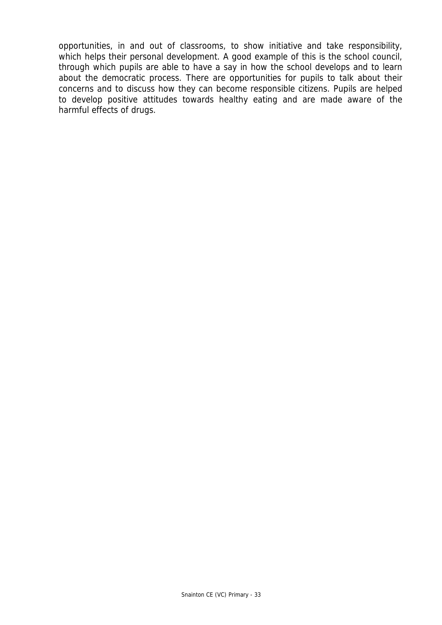opportunities, in and out of classrooms, to show initiative and take responsibility, which helps their personal development. A good example of this is the school council, through which pupils are able to have a say in how the school develops and to learn about the democratic process. There are opportunities for pupils to talk about their concerns and to discuss how they can become responsible citizens. Pupils are helped to develop positive attitudes towards healthy eating and are made aware of the harmful effects of drugs.